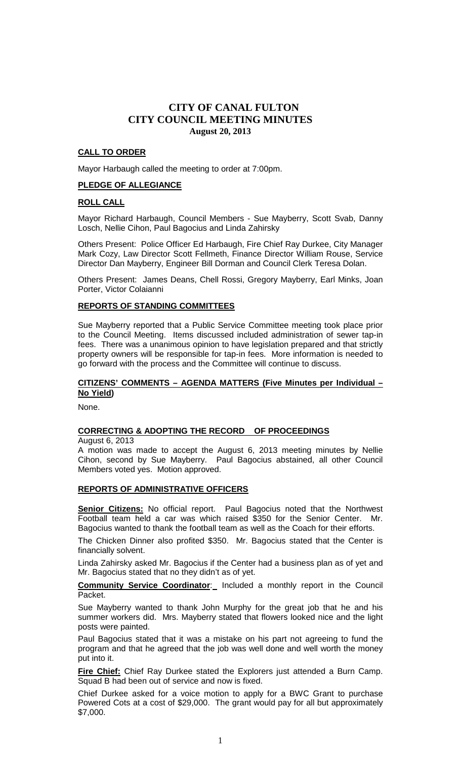### **CALL TO ORDER**

Mayor Harbaugh called the meeting to order at 7:00pm.

#### **PLEDGE OF ALLEGIANCE**

### **ROLL CALL**

Mayor Richard Harbaugh, Council Members - Sue Mayberry, Scott Svab, Danny Losch, Nellie Cihon, Paul Bagocius and Linda Zahirsky

Others Present: Police Officer Ed Harbaugh, Fire Chief Ray Durkee, City Manager Mark Cozy, Law Director Scott Fellmeth, Finance Director William Rouse, Service Director Dan Mayberry, Engineer Bill Dorman and Council Clerk Teresa Dolan.

Others Present: James Deans, Chell Rossi, Gregory Mayberry, Earl Minks, Joan Porter, Victor Colaianni

### **REPORTS OF STANDING COMMITTEES**

Sue Mayberry reported that a Public Service Committee meeting took place prior to the Council Meeting. Items discussed included administration of sewer tap-in fees. There was a unanimous opinion to have legislation prepared and that strictly property owners will be responsible for tap-in fees. More information is needed to go forward with the process and the Committee will continue to discuss.

### **CITIZENS' COMMENTS – AGENDA MATTERS (Five Minutes per Individual – No Yield)**

None.

## **CORRECTING & ADOPTING THE RECORD OF PROCEEDINGS**

August 6, 2013

A motion was made to accept the August 6, 2013 meeting minutes by Nellie Cihon, second by Sue Mayberry. Paul Bagocius abstained, all other Council Members voted yes. Motion approved.

## **REPORTS OF ADMINISTRATIVE OFFICERS**

**Senior Citizens:** No official report. Paul Bagocius noted that the Northwest Football team held a car was which raised \$350 for the Senior Center. Mr. Bagocius wanted to thank the football team as well as the Coach for their efforts.

The Chicken Dinner also profited \$350. Mr. Bagocius stated that the Center is financially solvent.

Linda Zahirsky asked Mr. Bagocius if the Center had a business plan as of yet and Mr. Bagocius stated that no they didn't as of yet.

**Community Service Coordinator**: Included a monthly report in the Council Packet.

Sue Mayberry wanted to thank John Murphy for the great job that he and his summer workers did. Mrs. Mayberry stated that flowers looked nice and the light posts were painted.

Paul Bagocius stated that it was a mistake on his part not agreeing to fund the program and that he agreed that the job was well done and well worth the money put into it.

**Fire Chief:** Chief Ray Durkee stated the Explorers just attended a Burn Camp. Squad B had been out of service and now is fixed.

Chief Durkee asked for a voice motion to apply for a BWC Grant to purchase Powered Cots at a cost of \$29,000. The grant would pay for all but approximately \$7,000.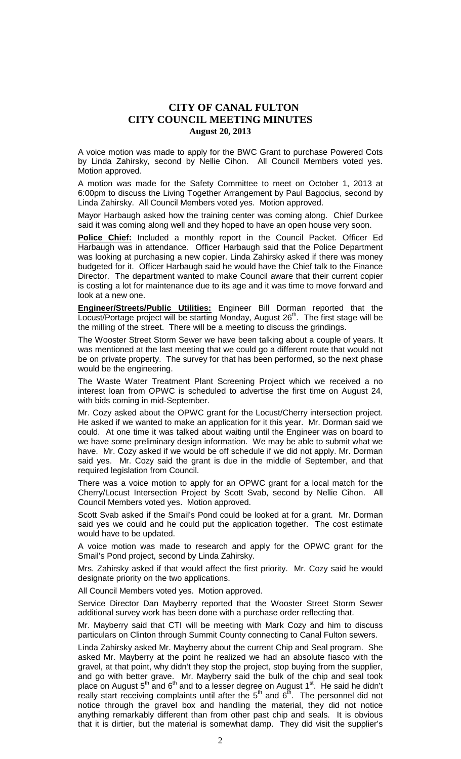A voice motion was made to apply for the BWC Grant to purchase Powered Cots by Linda Zahirsky, second by Nellie Cihon. All Council Members voted yes. Motion approved.

A motion was made for the Safety Committee to meet on October 1, 2013 at 6:00pm to discuss the Living Together Arrangement by Paul Bagocius, second by Linda Zahirsky. All Council Members voted yes. Motion approved.

Mayor Harbaugh asked how the training center was coming along. Chief Durkee said it was coming along well and they hoped to have an open house very soon.

**Police Chief:** Included a monthly report in the Council Packet. Officer Ed Harbaugh was in attendance. Officer Harbaugh said that the Police Department was looking at purchasing a new copier. Linda Zahirsky asked if there was money budgeted for it. Officer Harbaugh said he would have the Chief talk to the Finance Director. The department wanted to make Council aware that their current copier is costing a lot for maintenance due to its age and it was time to move forward and look at a new one.

**Engineer/Streets/Public Utilities:** Engineer Bill Dorman reported that the Locust/Portage project will be starting Monday, August 26<sup>th</sup>. The first stage will be the milling of the street. There will be a meeting to discuss the grindings.

The Wooster Street Storm Sewer we have been talking about a couple of years. It was mentioned at the last meeting that we could go a different route that would not be on private property. The survey for that has been performed, so the next phase would be the engineering.

The Waste Water Treatment Plant Screening Project which we received a no interest loan from OPWC is scheduled to advertise the first time on August 24, with bids coming in mid-September.

Mr. Cozy asked about the OPWC grant for the Locust/Cherry intersection project. He asked if we wanted to make an application for it this year. Mr. Dorman said we could. At one time it was talked about waiting until the Engineer was on board to we have some preliminary design information. We may be able to submit what we have. Mr. Cozy asked if we would be off schedule if we did not apply. Mr. Dorman said yes. Mr. Cozy said the grant is due in the middle of September, and that required legislation from Council.

There was a voice motion to apply for an OPWC grant for a local match for the Cherry/Locust Intersection Project by Scott Svab, second by Nellie Cihon. All Council Members voted yes. Motion approved.

Scott Svab asked if the Smail's Pond could be looked at for a grant. Mr. Dorman said yes we could and he could put the application together. The cost estimate would have to be updated.

A voice motion was made to research and apply for the OPWC grant for the Smail's Pond project, second by Linda Zahirsky.

Mrs. Zahirsky asked if that would affect the first priority. Mr. Cozy said he would designate priority on the two applications.

All Council Members voted yes. Motion approved.

Service Director Dan Mayberry reported that the Wooster Street Storm Sewer additional survey work has been done with a purchase order reflecting that.

Mr. Mayberry said that CTI will be meeting with Mark Cozy and him to discuss particulars on Clinton through Summit County connecting to Canal Fulton sewers.

Linda Zahirsky asked Mr. Mayberry about the current Chip and Seal program. She asked Mr. Mayberry at the point he realized we had an absolute fiasco with the gravel, at that point, why didn't they stop the project, stop buying from the supplier, and go with better grave. Mr. Mayberry said the bulk of the chip and seal took place on August 5<sup>th</sup> and 6<sup>th</sup> and to a lesser degree on August 1<sup>st</sup>. He said he didn't really start receiving complaints until after the  $5<sup>th</sup>$  and  $6<sup>th</sup>$ . The personnel did not notice through the gravel box and handling the material, they did not notice anything remarkably different than from other past chip and seals. It is obvious that it is dirtier, but the material is somewhat damp. They did visit the supplier's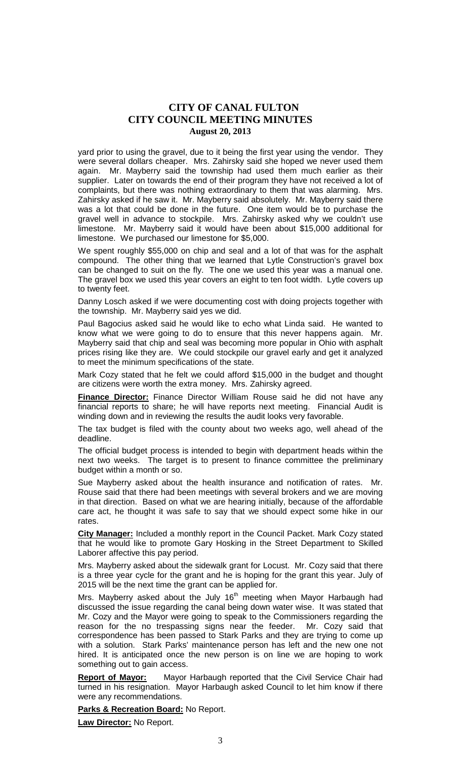yard prior to using the gravel, due to it being the first year using the vendor. They were several dollars cheaper. Mrs. Zahirsky said she hoped we never used them again. Mr. Mayberry said the township had used them much earlier as their supplier. Later on towards the end of their program they have not received a lot of complaints, but there was nothing extraordinary to them that was alarming. Mrs. Zahirsky asked if he saw it. Mr. Mayberry said absolutely. Mr. Mayberry said there was a lot that could be done in the future. One item would be to purchase the gravel well in advance to stockpile. Mrs. Zahirsky asked why we couldn't use limestone. Mr. Mayberry said it would have been about \$15,000 additional for limestone. We purchased our limestone for \$5,000.

We spent roughly \$55,000 on chip and seal and a lot of that was for the asphalt compound. The other thing that we learned that Lytle Construction's gravel box can be changed to suit on the fly. The one we used this year was a manual one. The gravel box we used this year covers an eight to ten foot width. Lytle covers up to twenty feet.

Danny Losch asked if we were documenting cost with doing projects together with the township. Mr. Mayberry said yes we did.

Paul Bagocius asked said he would like to echo what Linda said. He wanted to know what we were going to do to ensure that this never happens again. Mr. Mayberry said that chip and seal was becoming more popular in Ohio with asphalt prices rising like they are. We could stockpile our gravel early and get it analyzed to meet the minimum specifications of the state.

Mark Cozy stated that he felt we could afford \$15,000 in the budget and thought are citizens were worth the extra money. Mrs. Zahirsky agreed.

**Finance Director:** Finance Director William Rouse said he did not have any financial reports to share; he will have reports next meeting. Financial Audit is winding down and in reviewing the results the audit looks very favorable.

The tax budget is filed with the county about two weeks ago, well ahead of the deadline.

The official budget process is intended to begin with department heads within the next two weeks. The target is to present to finance committee the preliminary budget within a month or so.

Sue Mayberry asked about the health insurance and notification of rates. Mr. Rouse said that there had been meetings with several brokers and we are moving in that direction. Based on what we are hearing initially, because of the affordable care act, he thought it was safe to say that we should expect some hike in our rates.

**City Manager:** Included a monthly report in the Council Packet. Mark Cozy stated that he would like to promote Gary Hosking in the Street Department to Skilled Laborer affective this pay period.

Mrs. Mayberry asked about the sidewalk grant for Locust. Mr. Cozy said that there is a three year cycle for the grant and he is hoping for the grant this year. July of 2015 will be the next time the grant can be applied for.

Mrs. Mayberry asked about the July 16<sup>th</sup> meeting when Mayor Harbaugh had discussed the issue regarding the canal being down water wise. It was stated that Mr. Cozy and the Mayor were going to speak to the Commissioners regarding the reason for the no trespassing signs near the feeder. Mr. Cozy said that correspondence has been passed to Stark Parks and they are trying to come up with a solution. Stark Parks' maintenance person has left and the new one not hired. It is anticipated once the new person is on line we are hoping to work something out to gain access.

**Report of Mayor:** Mayor Harbaugh reported that the Civil Service Chair had turned in his resignation. Mayor Harbaugh asked Council to let him know if there were any recommendations.

**Parks & Recreation Board:** No Report.

**Law Director:** No Report.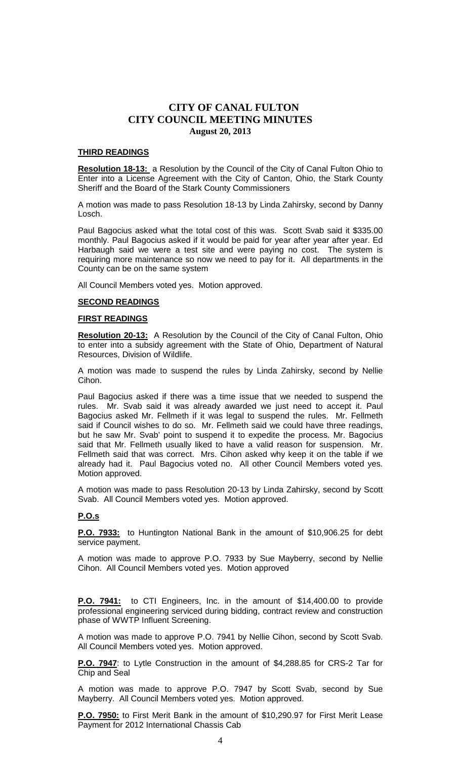#### **THIRD READINGS**

**Resolution 18-13:** a Resolution by the Council of the City of Canal Fulton Ohio to Enter into a License Agreement with the City of Canton, Ohio, the Stark County Sheriff and the Board of the Stark County Commissioners

A motion was made to pass Resolution 18-13 by Linda Zahirsky, second by Danny Losch.

Paul Bagocius asked what the total cost of this was. Scott Svab said it \$335.00 monthly. Paul Bagocius asked if it would be paid for year after year after year. Ed Harbaugh said we were a test site and were paying no cost. The system is requiring more maintenance so now we need to pay for it. All departments in the County can be on the same system

All Council Members voted yes. Motion approved.

### **SECOND READINGS**

#### **FIRST READINGS**

**Resolution 20-13:** A Resolution by the Council of the City of Canal Fulton, Ohio to enter into a subsidy agreement with the State of Ohio, Department of Natural Resources, Division of Wildlife.

A motion was made to suspend the rules by Linda Zahirsky, second by Nellie Cihon.

Paul Bagocius asked if there was a time issue that we needed to suspend the rules. Mr. Svab said it was already awarded we just need to accept it. Paul Bagocius asked Mr. Fellmeth if it was legal to suspend the rules. Mr. Fellmeth said if Council wishes to do so. Mr. Fellmeth said we could have three readings, but he saw Mr. Svab' point to suspend it to expedite the process. Mr. Bagocius said that Mr. Fellmeth usually liked to have a valid reason for suspension. Mr. Fellmeth said that was correct. Mrs. Cihon asked why keep it on the table if we already had it. Paul Bagocius voted no. All other Council Members voted yes. Motion approved.

A motion was made to pass Resolution 20-13 by Linda Zahirsky, second by Scott Svab. All Council Members voted yes. Motion approved.

#### **P.O.s**

**P.O. 7933:** to Huntington National Bank in the amount of \$10,906.25 for debt service payment.

A motion was made to approve P.O. 7933 by Sue Mayberry, second by Nellie Cihon. All Council Members voted yes. Motion approved

**P.O. 7941:** to CTI Engineers, Inc. in the amount of \$14,400.00 to provide professional engineering serviced during bidding, contract review and construction phase of WWTP Influent Screening.

A motion was made to approve P.O. 7941 by Nellie Cihon, second by Scott Svab. All Council Members voted yes. Motion approved.

**P.O. 7947**: to Lytle Construction in the amount of \$4,288.85 for CRS-2 Tar for Chip and Seal

A motion was made to approve P.O. 7947 by Scott Svab, second by Sue Mayberry. All Council Members voted yes. Motion approved.

**P.O. 7950:** to First Merit Bank in the amount of \$10,290.97 for First Merit Lease Payment for 2012 International Chassis Cab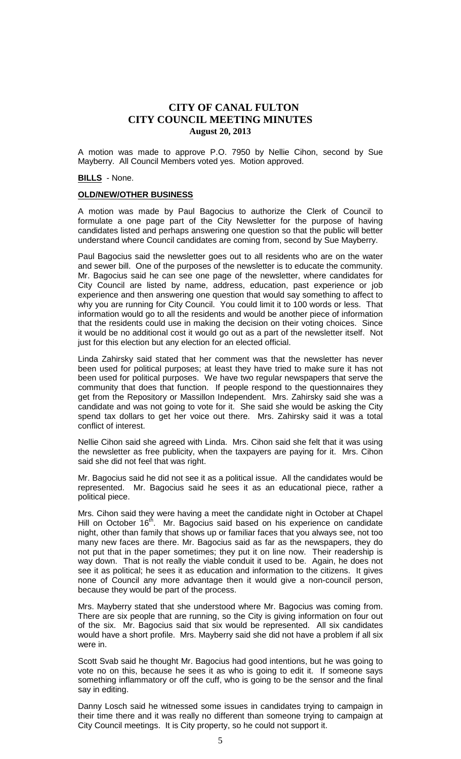A motion was made to approve P.O. 7950 by Nellie Cihon, second by Sue Mayberry. All Council Members voted yes. Motion approved.

#### **BILLS** - None.

#### **OLD/NEW/OTHER BUSINESS**

A motion was made by Paul Bagocius to authorize the Clerk of Council to formulate a one page part of the City Newsletter for the purpose of having candidates listed and perhaps answering one question so that the public will better understand where Council candidates are coming from, second by Sue Mayberry.

Paul Bagocius said the newsletter goes out to all residents who are on the water and sewer bill. One of the purposes of the newsletter is to educate the community. Mr. Bagocius said he can see one page of the newsletter, where candidates for City Council are listed by name, address, education, past experience or job experience and then answering one question that would say something to affect to why you are running for City Council. You could limit it to 100 words or less. That information would go to all the residents and would be another piece of information that the residents could use in making the decision on their voting choices. Since it would be no additional cost it would go out as a part of the newsletter itself. Not just for this election but any election for an elected official.

Linda Zahirsky said stated that her comment was that the newsletter has never been used for political purposes; at least they have tried to make sure it has not been used for political purposes. We have two regular newspapers that serve the community that does that function. If people respond to the questionnaires they get from the Repository or Massillon Independent. Mrs. Zahirsky said she was a candidate and was not going to vote for it. She said she would be asking the City spend tax dollars to get her voice out there. Mrs. Zahirsky said it was a total conflict of interest.

Nellie Cihon said she agreed with Linda. Mrs. Cihon said she felt that it was using the newsletter as free publicity, when the taxpayers are paying for it. Mrs. Cihon said she did not feel that was right.

Mr. Bagocius said he did not see it as a political issue. All the candidates would be represented. Mr. Bagocius said he sees it as an educational piece, rather a political piece.

Mrs. Cihon said they were having a meet the candidate night in October at Chapel Hill on October 16<sup>th</sup>. Mr. Bagocius said based on his experience on candidate night, other than family that shows up or familiar faces that you always see, not too many new faces are there. Mr. Bagocius said as far as the newspapers, they do not put that in the paper sometimes; they put it on line now. Their readership is way down. That is not really the viable conduit it used to be. Again, he does not see it as political; he sees it as education and information to the citizens. It gives none of Council any more advantage then it would give a non-council person, because they would be part of the process.

Mrs. Mayberry stated that she understood where Mr. Bagocius was coming from. There are six people that are running, so the City is giving information on four out of the six. Mr. Bagocius said that six would be represented. All six candidates would have a short profile. Mrs. Mayberry said she did not have a problem if all six were in.

Scott Svab said he thought Mr. Bagocius had good intentions, but he was going to vote no on this, because he sees it as who is going to edit it. If someone says something inflammatory or off the cuff, who is going to be the sensor and the final say in editing.

Danny Losch said he witnessed some issues in candidates trying to campaign in their time there and it was really no different than someone trying to campaign at City Council meetings. It is City property, so he could not support it.